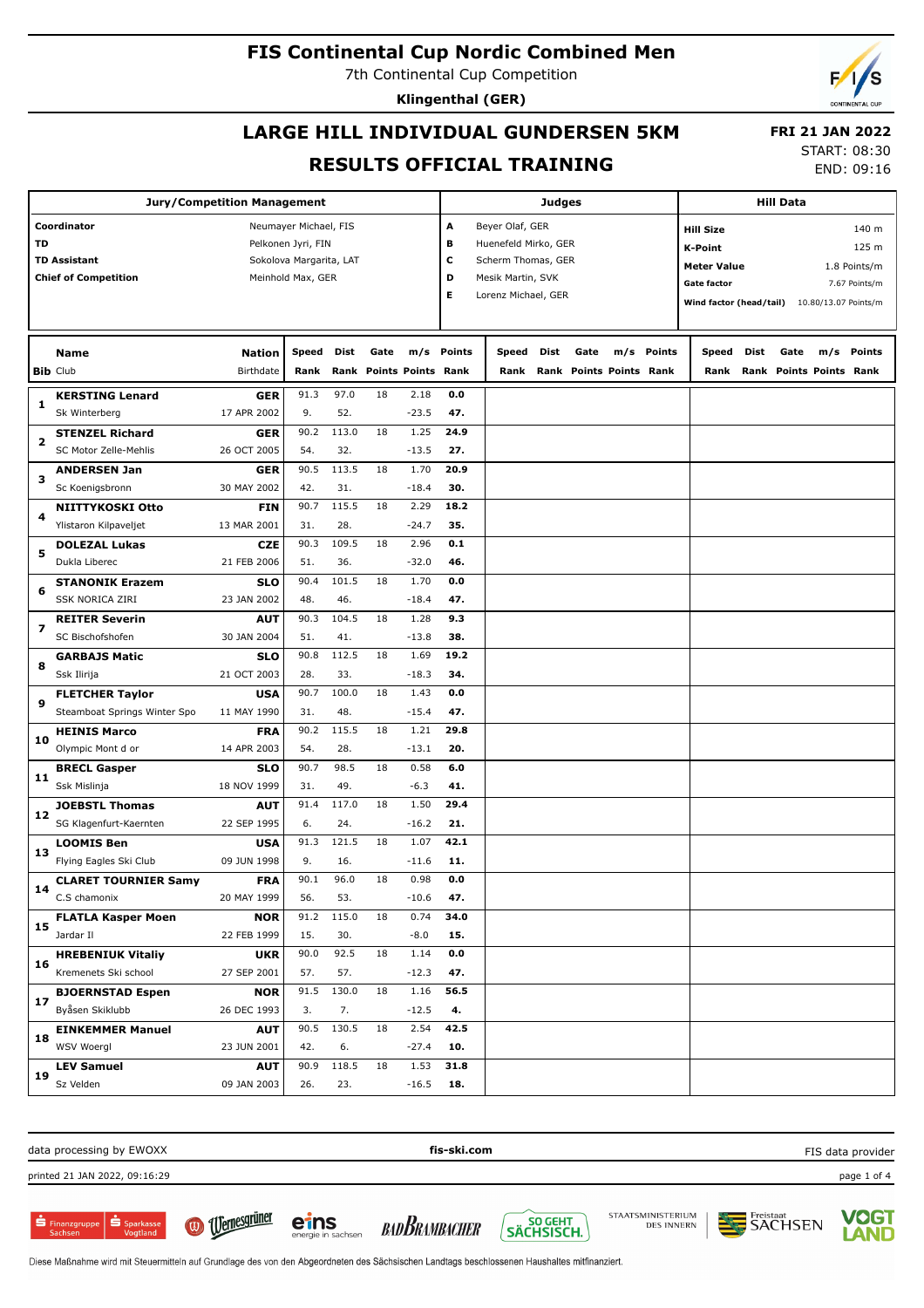**Klingenthal (GER)**

## **LARGE HILL INDIVIDUAL GUNDERSEN 5KM RESULTS OFFICIAL TRAINING**

**Jury/Competition Management**

**Coordinator** Neumayer Michael, FIS **TD** Pelkonen Jyri, FIN **TD Assistant Sokolova Margarita, LAT Chief of Competition** Meinhold Max, GER

**18**

**19**

WSV Woergl

**LEV Samuel** Sz Velden

START: 08:30 END: 09:16

 **FRI 21 JAN 2022**

**Hill Data**

**K-Point** 125 m **Hill Size** 140 m

**Meter Value** 1.8 Points/m

**A** Beyer Olaf, GER **B** Huenefeld Mirko, GER **C** Scherm Thomas, GER **D** Mesik Martin, SVK

**Judges**

|                         | <b>Chief of Competition</b>    |                            | Meinhold Max, GER |       |                                 |         | D<br>Е     | Mesik Martin, SVK<br>Lorenz Michael, GER |                                 |            | <b>Gate factor</b><br>Wind factor (head/tail) 10.80/13.07 Points/m |      |                                        | 7.67 Points/m |
|-------------------------|--------------------------------|----------------------------|-------------------|-------|---------------------------------|---------|------------|------------------------------------------|---------------------------------|------------|--------------------------------------------------------------------|------|----------------------------------------|---------------|
|                         | <b>Name</b><br><b>Bib Club</b> | <b>Nation</b><br>Birthdate | Speed<br>Rank     | Dist  | Gate<br>Rank Points Points Rank |         | m/s Points | Speed Dist<br>Rank                       | Gate<br>Rank Points Points Rank | m/s Points | Speed<br>Rank                                                      | Dist | Gate<br><b>Rank Points Points Rank</b> | m/s Points    |
|                         | <b>KERSTING Lenard</b>         | GER                        | 91.3              | 97.0  | 18                              | 2.18    | 0.0        |                                          |                                 |            |                                                                    |      |                                        |               |
| 1                       | Sk Winterberg                  | 17 APR 2002                | 9.                | 52.   |                                 | $-23.5$ | 47.        |                                          |                                 |            |                                                                    |      |                                        |               |
| $\overline{\mathbf{2}}$ | <b>STENZEL Richard</b>         | <b>GER</b>                 | 90.2              | 113.0 | 18                              | 1.25    | 24.9       |                                          |                                 |            |                                                                    |      |                                        |               |
|                         | SC Motor Zelle-Mehlis          | 26 OCT 2005                | 54.               | 32.   |                                 | $-13.5$ | 27.        |                                          |                                 |            |                                                                    |      |                                        |               |
| 3                       | <b>ANDERSEN Jan</b>            | <b>GER</b>                 | 90.5              | 113.5 | 18                              | 1.70    | 20.9       |                                          |                                 |            |                                                                    |      |                                        |               |
|                         | Sc Koenigsbronn                | 30 MAY 2002                | 42.               | 31.   |                                 | $-18.4$ | 30.        |                                          |                                 |            |                                                                    |      |                                        |               |
| 4                       | NIITTYKOSKI Otto               | <b>FIN</b>                 | 90.7              | 115.5 | 18                              | 2.29    | 18.2       |                                          |                                 |            |                                                                    |      |                                        |               |
|                         | Ylistaron Kilpaveljet          | 13 MAR 2001                | 31.               | 28.   |                                 | $-24.7$ | 35.        |                                          |                                 |            |                                                                    |      |                                        |               |
| 5                       | <b>DOLEZAL Lukas</b>           | <b>CZE</b>                 | 90.3              | 109.5 | 18                              | 2.96    | 0.1        |                                          |                                 |            |                                                                    |      |                                        |               |
|                         | Dukla Liberec                  | 21 FEB 2006                | 51.               | 36.   |                                 | $-32.0$ | 46.        |                                          |                                 |            |                                                                    |      |                                        |               |
| 6                       | <b>STANONIK Erazem</b>         | <b>SLO</b>                 | 90.4              | 101.5 | 18                              | 1.70    | 0.0        |                                          |                                 |            |                                                                    |      |                                        |               |
|                         | <b>SSK NORICA ZIRI</b>         | 23 JAN 2002                | 48.               | 46.   |                                 | $-18.4$ | 47.        |                                          |                                 |            |                                                                    |      |                                        |               |
| $\overline{\mathbf{z}}$ | <b>REITER Severin</b>          | <b>AUT</b>                 | 90.3              | 104.5 | 18                              | 1.28    | 9.3        |                                          |                                 |            |                                                                    |      |                                        |               |
|                         | SC Bischofshofen               | 30 JAN 2004                | 51.               | 41.   |                                 | $-13.8$ | 38.        |                                          |                                 |            |                                                                    |      |                                        |               |
| 8                       | <b>GARBAJS Matic</b>           | <b>SLO</b>                 | 90.8              | 112.5 | 18                              | 1.69    | 19.2       |                                          |                                 |            |                                                                    |      |                                        |               |
|                         | Ssk Ilirija                    | 21 OCT 2003                | 28.               | 33.   |                                 | $-18.3$ | 34.        |                                          |                                 |            |                                                                    |      |                                        |               |
| $\mathbf{9}$            | <b>FLETCHER Taylor</b>         | <b>USA</b>                 | 90.7              | 100.0 | 18                              | 1.43    | 0.0        |                                          |                                 |            |                                                                    |      |                                        |               |
|                         | Steamboat Springs Winter Spo   | 11 MAY 1990                | 31.               | 48.   |                                 | $-15.4$ | 47.        |                                          |                                 |            |                                                                    |      |                                        |               |
| 10                      | <b>HEINIS Marco</b>            | <b>FRA</b>                 | 90.2              | 115.5 | 18                              | 1.21    | 29.8       |                                          |                                 |            |                                                                    |      |                                        |               |
|                         | Olympic Mont d or              | 14 APR 2003                | 54.               | 28.   |                                 | $-13.1$ | 20.        |                                          |                                 |            |                                                                    |      |                                        |               |
| 11                      | <b>BRECL Gasper</b>            | <b>SLO</b>                 | 90.7              | 98.5  | 18                              | 0.58    | 6.0        |                                          |                                 |            |                                                                    |      |                                        |               |
|                         | Ssk Mislinja                   | 18 NOV 1999                | 31.               | 49.   |                                 | $-6.3$  | 41.        |                                          |                                 |            |                                                                    |      |                                        |               |
| 12                      | <b>JOEBSTL Thomas</b>          | <b>AUT</b>                 | 91.4              | 117.0 | 18                              | 1.50    | 29.4       |                                          |                                 |            |                                                                    |      |                                        |               |
|                         | SG Klagenfurt-Kaernten         | 22 SEP 1995                | 6.                | 24.   |                                 | $-16.2$ | 21.        |                                          |                                 |            |                                                                    |      |                                        |               |
| 13                      | <b>LOOMIS Ben</b>              | <b>USA</b>                 | 91.3              | 121.5 | 18                              | 1.07    | 42.1       |                                          |                                 |            |                                                                    |      |                                        |               |
|                         | Flying Eagles Ski Club         | 09 JUN 1998                | 9.                | 16.   |                                 | $-11.6$ | 11.        |                                          |                                 |            |                                                                    |      |                                        |               |
| 14                      | <b>CLARET TOURNIER Samy</b>    | <b>FRA</b>                 | 90.1              | 96.0  | 18                              | 0.98    | 0.0        |                                          |                                 |            |                                                                    |      |                                        |               |
|                         | C.S chamonix                   | 20 MAY 1999                | 56.               | 53.   |                                 | $-10.6$ | 47.        |                                          |                                 |            |                                                                    |      |                                        |               |
| 15                      | <b>FLATLA Kasper Moen</b>      | <b>NOR</b>                 | 91.2              | 115.0 | 18                              | 0.74    | 34.0       |                                          |                                 |            |                                                                    |      |                                        |               |
|                         | Jardar II                      | 22 FEB 1999                | 15.               | 30.   |                                 | $-8.0$  | 15.        |                                          |                                 |            |                                                                    |      |                                        |               |
| 16                      | <b>HREBENIUK Vitaliy</b>       | <b>UKR</b>                 | 90.0              | 92.5  | 18                              | 1.14    | 0.0        |                                          |                                 |            |                                                                    |      |                                        |               |
|                         | Kremenets Ski school           | 27 SEP 2001                | 57.               | 57.   |                                 | $-12.3$ | 47.        |                                          |                                 |            |                                                                    |      |                                        |               |
| 17                      | <b>BJOERNSTAD Espen</b>        | <b>NOR</b>                 | 91.5              | 130.0 | 18                              | 1.16    | 56.5       |                                          |                                 |            |                                                                    |      |                                        |               |
|                         | Byåsen Skiklubb                | 26 DEC 1993                | 3.                | 7.    |                                 | $-12.5$ | 4.         |                                          |                                 |            |                                                                    |      |                                        |               |
|                         | <b>EINKEMMER Manuel</b>        | <b>AUT</b>                 | 90.5              | 130.5 | 18                              | 2.54    | 42.5       |                                          |                                 |            |                                                                    |      |                                        |               |

data processing by EWOXX **fis-ski.com** FIS data providerprinted 21 JAN 2022, 09:16:29 page 1 of 4 **U**ernesgrüner STAATSMINISTERIUM **VOGT** SÖ GEHT<br>SÄCHSISCH. Freistaat<br>**SACHSEN**  $S_{\text{parkass}}$ eins **BADBRAMBACHER**  $\blacksquare$  Finanzgruppe **DES INNERN**  $(\mathbf{U})$ 

**10.**

**31.8 18.**

1.53

Diese Maßnahme wird mit Steuermitteln auf Grundlage des von den Abgeordneten des Sächsischen Landtags beschlossenen Haushaltes mitfinanziert.

42. 6. -27.4

90.9 118.5 18 26. 23. -16.5

23 JUN 2001

**AUT** 09 JAN 2003





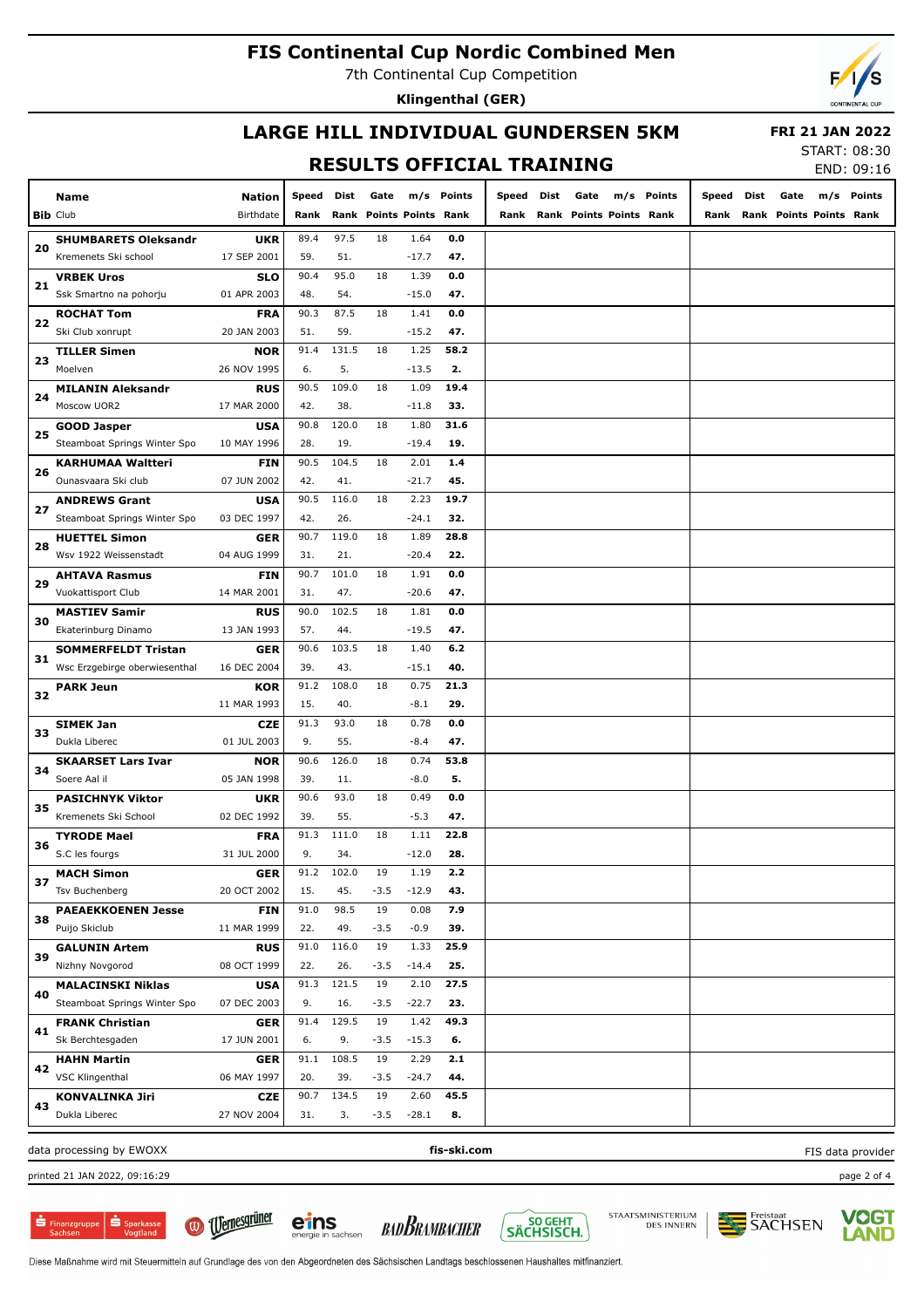7th Continental Cup Competition

**Klingenthal (GER)**

### **LARGE HILL INDIVIDUAL GUNDERSEN 5KM RESULTS OFFICIAL TRAINING**

 **FRI 21 JAN 2022**

## START: 08:30

 $END: 09.16$ 

|    |                               |             |       |       |        |                           |             |       |      |                         |       |      |                         |     | LIVU. UJ.IU       |
|----|-------------------------------|-------------|-------|-------|--------|---------------------------|-------------|-------|------|-------------------------|-------|------|-------------------------|-----|-------------------|
|    | Name                          | Nation      | Speed | Dist  | Gate   |                           | m/s Points  | Speed | Dist | Gate<br>m/s Points      | Speed | Dist | Gate                    | m/s | Points            |
|    | <b>Bib Club</b>               | Birthdate   | Rank  | Rank  |        | <b>Points Points Rank</b> |             | Rank  |      | Rank Points Points Rank | Rank  |      | Rank Points Points Rank |     |                   |
|    | <b>SHUMBARETS Oleksandr</b>   | <b>UKR</b>  | 89.4  | 97.5  | 18     | 1.64                      | 0.0         |       |      |                         |       |      |                         |     |                   |
| 20 | Kremenets Ski school          | 17 SEP 2001 | 59.   | 51.   |        | $-17.7$                   | 47.         |       |      |                         |       |      |                         |     |                   |
|    | <b>VRBEK Uros</b>             | <b>SLO</b>  | 90.4  | 95.0  | 18     | 1.39                      | 0.0         |       |      |                         |       |      |                         |     |                   |
| 21 | Ssk Smartno na pohorju        | 01 APR 2003 | 48.   | 54.   |        | $-15.0$                   | 47.         |       |      |                         |       |      |                         |     |                   |
|    | <b>ROCHAT Tom</b>             | <b>FRA</b>  | 90.3  | 87.5  | 18     | 1.41                      | 0.0         |       |      |                         |       |      |                         |     |                   |
| 22 | Ski Club xonrupt              | 20 JAN 2003 | 51.   | 59.   |        | $-15.2$                   | 47.         |       |      |                         |       |      |                         |     |                   |
|    | <b>TILLER Simen</b>           | <b>NOR</b>  | 91.4  | 131.5 | 18     | 1.25                      | 58.2        |       |      |                         |       |      |                         |     |                   |
| 23 | Moelven                       | 26 NOV 1995 | 6.    | 5.    |        | $-13.5$                   | 2.          |       |      |                         |       |      |                         |     |                   |
|    | <b>MILANIN Aleksandr</b>      | <b>RUS</b>  | 90.5  | 109.0 | 18     | 1.09                      | 19.4        |       |      |                         |       |      |                         |     |                   |
| 24 | Moscow UOR2                   | 17 MAR 2000 | 42.   | 38.   |        | $-11.8$                   | 33.         |       |      |                         |       |      |                         |     |                   |
|    | <b>GOOD Jasper</b>            | <b>USA</b>  | 90.8  | 120.0 | 18     | 1.80                      | 31.6        |       |      |                         |       |      |                         |     |                   |
| 25 | Steamboat Springs Winter Spo  | 10 MAY 1996 | 28.   | 19.   |        | $-19.4$                   | 19.         |       |      |                         |       |      |                         |     |                   |
|    | KARHUMAA Waltteri             | <b>FIN</b>  | 90.5  | 104.5 | 18     | 2.01                      | 1.4         |       |      |                         |       |      |                         |     |                   |
| 26 | Ounasvaara Ski club           | 07 JUN 2002 | 42.   | 41.   |        | $-21.7$                   | 45.         |       |      |                         |       |      |                         |     |                   |
|    | <b>ANDREWS Grant</b>          | <b>USA</b>  | 90.5  | 116.0 | 18     | 2.23                      | 19.7        |       |      |                         |       |      |                         |     |                   |
| 27 | Steamboat Springs Winter Spo  | 03 DEC 1997 | 42.   | 26.   |        | $-24.1$                   | 32.         |       |      |                         |       |      |                         |     |                   |
|    | <b>HUETTEL Simon</b>          | <b>GER</b>  | 90.7  | 119.0 | 18     | 1.89                      | 28.8        |       |      |                         |       |      |                         |     |                   |
| 28 | Wsv 1922 Weissenstadt         | 04 AUG 1999 | 31.   | 21.   |        | $-20.4$                   | 22.         |       |      |                         |       |      |                         |     |                   |
|    | <b>AHTAVA Rasmus</b>          | <b>FIN</b>  | 90.7  | 101.0 | 18     | 1.91                      | 0.0         |       |      |                         |       |      |                         |     |                   |
| 29 | Vuokattisport Club            | 14 MAR 2001 | 31.   | 47.   |        | $-20.6$                   | 47.         |       |      |                         |       |      |                         |     |                   |
|    | <b>MASTIEV Samir</b>          | <b>RUS</b>  | 90.0  | 102.5 | 18     | 1.81                      | 0.0         |       |      |                         |       |      |                         |     |                   |
| 30 | Ekaterinburg Dinamo           | 13 JAN 1993 | 57.   | 44.   |        | $-19.5$                   | 47.         |       |      |                         |       |      |                         |     |                   |
|    | <b>SOMMERFELDT Tristan</b>    | <b>GER</b>  | 90.6  | 103.5 | 18     | 1.40                      | 6.2         |       |      |                         |       |      |                         |     |                   |
| 31 | Wsc Erzgebirge oberwiesenthal | 16 DEC 2004 | 39.   | 43.   |        | $-15.1$                   | 40.         |       |      |                         |       |      |                         |     |                   |
|    | <b>PARK Jeun</b>              | <b>KOR</b>  | 91.2  | 108.0 | 18     | 0.75                      | 21.3        |       |      |                         |       |      |                         |     |                   |
| 32 |                               | 11 MAR 1993 | 15.   | 40.   |        | $-8.1$                    | 29.         |       |      |                         |       |      |                         |     |                   |
|    | <b>SIMEK Jan</b>              | <b>CZE</b>  | 91.3  | 93.0  | 18     | 0.78                      | 0.0         |       |      |                         |       |      |                         |     |                   |
| 33 | Dukla Liberec                 | 01 JUL 2003 | 9.    | 55.   |        | $-8.4$                    | 47.         |       |      |                         |       |      |                         |     |                   |
|    | <b>SKAARSET Lars Ivar</b>     | <b>NOR</b>  | 90.6  | 126.0 | 18     | 0.74                      | 53.8        |       |      |                         |       |      |                         |     |                   |
| 34 | Soere Aal il                  | 05 JAN 1998 | 39.   | 11.   |        | $-8.0$                    | 5.          |       |      |                         |       |      |                         |     |                   |
|    | <b>PASICHNYK Viktor</b>       | <b>UKR</b>  | 90.6  | 93.0  | 18     | 0.49                      | 0.0         |       |      |                         |       |      |                         |     |                   |
| 35 | Kremenets Ski School          | 02 DEC 1992 | 39.   | 55.   |        | $-5.3$                    | 47.         |       |      |                         |       |      |                         |     |                   |
|    | TYRODE Mael                   | <b>FRA</b>  | 91.3  | 111.0 | 18     | 1.11                      | 22.8        |       |      |                         |       |      |                         |     |                   |
| 36 | S.C les fourgs                | 31 JUL 2000 | 9.    | 34.   |        | $-12.0$                   | 28.         |       |      |                         |       |      |                         |     |                   |
|    | <b>MACH Simon</b>             | GER         | 91.2  | 102.0 | 19     | 1.19                      | 2.2         |       |      |                         |       |      |                         |     |                   |
| 37 | Tsv Buchenberg                | 20 OCT 2002 | 15.   | 45.   | $-3.5$ | $-12.9$                   | 43.         |       |      |                         |       |      |                         |     |                   |
| 38 | <b>PAEAEKKOENEN Jesse</b>     | <b>FIN</b>  | 91.0  | 98.5  | 19     | 0.08                      | 7.9         |       |      |                         |       |      |                         |     |                   |
|    | Puijo Skiclub                 | 11 MAR 1999 | 22.   | 49.   | $-3.5$ | $-0.9$                    | 39.         |       |      |                         |       |      |                         |     |                   |
| 39 | <b>GALUNIN Artem</b>          | <b>RUS</b>  | 91.0  | 116.0 | 19     | 1.33                      | 25.9        |       |      |                         |       |      |                         |     |                   |
|    | Nizhny Novgorod               | 08 OCT 1999 | 22.   | 26.   | $-3.5$ | $-14.4$                   | 25.         |       |      |                         |       |      |                         |     |                   |
|    | <b>MALACINSKI Niklas</b>      | <b>USA</b>  | 91.3  | 121.5 | 19     | 2.10                      | 27.5        |       |      |                         |       |      |                         |     |                   |
| 40 | Steamboat Springs Winter Spo  | 07 DEC 2003 | 9.    | 16.   | $-3.5$ | $-22.7$                   | 23.         |       |      |                         |       |      |                         |     |                   |
| 41 | <b>FRANK Christian</b>        | <b>GER</b>  | 91.4  | 129.5 | 19     | 1.42                      | 49.3        |       |      |                         |       |      |                         |     |                   |
|    | Sk Berchtesgaden              | 17 JUN 2001 | 6.    | 9.    | $-3.5$ | $-15.3$                   | 6.          |       |      |                         |       |      |                         |     |                   |
| 42 | <b>HAHN Martin</b>            | <b>GER</b>  | 91.1  | 108.5 | 19     | 2.29                      | 2.1         |       |      |                         |       |      |                         |     |                   |
|    | VSC Klingenthal               | 06 MAY 1997 | 20.   | 39.   | $-3.5$ | $-24.7$                   | 44.         |       |      |                         |       |      |                         |     |                   |
| 43 | <b>KONVALINKA Jiri</b>        | <b>CZE</b>  | 90.7  | 134.5 | 19     | 2.60                      | 45.5        |       |      |                         |       |      |                         |     |                   |
|    | Dukla Liberec                 | 27 NOV 2004 | 31.   | 3.    | $-3.5$ | $-28.1$                   | 8.          |       |      |                         |       |      |                         |     |                   |
|    | data processing by EWOXX      |             |       |       |        |                           | fis-ski.com |       |      |                         |       |      |                         |     | FIS data provider |

printed 21 JAN 2022, 09:16:29 page 2 of 4

 $\dot{\mathbf{S}}$  Sparkas  $\frac{1}{\sqrt{2}}$  Finanzgruppe









eins

BADBRAMBACHER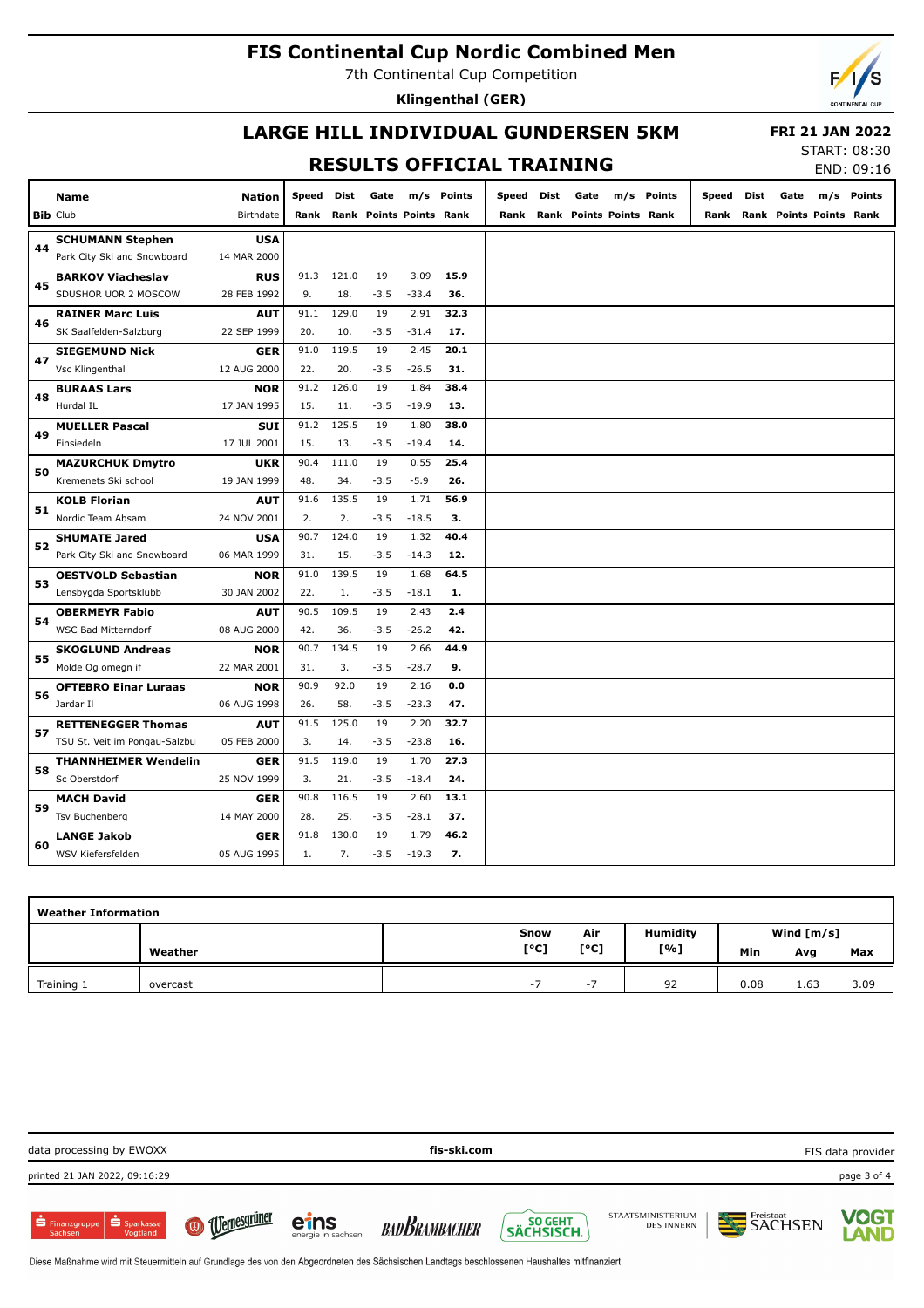7th Continental Cup Competition

**Klingenthal (GER)**

## **LARGE HILL INDIVIDUAL GUNDERSEN 5KM**

 **FRI 21 JAN 2022**  $57107.00.20$ 

## **RESULTS OFFICIAL TRAINING**

| 51ART: 08:30 |            |
|--------------|------------|
|              | END: 09:16 |

|    | <b>Name</b>                   | <b>Nation</b> | Speed | Dist  | Gate                         |         | m/s Points | Speed | Dist | Gate |                              | m/s Points | Speed | Dist | Gate | m/s Points                   |
|----|-------------------------------|---------------|-------|-------|------------------------------|---------|------------|-------|------|------|------------------------------|------------|-------|------|------|------------------------------|
|    | <b>Bib</b> Club               | Birthdate     |       |       | Rank Rank Points Points Rank |         |            |       |      |      | Rank Rank Points Points Rank |            |       |      |      | Rank Rank Points Points Rank |
|    | <b>SCHUMANN Stephen</b>       | <b>USA</b>    |       |       |                              |         |            |       |      |      |                              |            |       |      |      |                              |
| 44 | Park City Ski and Snowboard   | 14 MAR 2000   |       |       |                              |         |            |       |      |      |                              |            |       |      |      |                              |
| 45 | <b>BARKOV Viacheslav</b>      | <b>RUS</b>    | 91.3  | 121.0 | 19                           | 3.09    | 15.9       |       |      |      |                              |            |       |      |      |                              |
|    | SDUSHOR UOR 2 MOSCOW          | 28 FEB 1992   | 9.    | 18.   | $-3.5$                       | $-33.4$ | 36.        |       |      |      |                              |            |       |      |      |                              |
| 46 | <b>RAINER Marc Luis</b>       | <b>AUT</b>    | 91.1  | 129.0 | 19                           | 2.91    | 32.3       |       |      |      |                              |            |       |      |      |                              |
|    | SK Saalfelden-Salzburg        | 22 SEP 1999   | 20.   | 10.   | $-3.5$                       | $-31.4$ | 17.        |       |      |      |                              |            |       |      |      |                              |
| 47 | <b>SIEGEMUND Nick</b>         | <b>GER</b>    | 91.0  | 119.5 | 19                           | 2.45    | 20.1       |       |      |      |                              |            |       |      |      |                              |
|    | Vsc Klingenthal               | 12 AUG 2000   | 22.   | 20.   | $-3.5$                       | $-26.5$ | 31.        |       |      |      |                              |            |       |      |      |                              |
| 48 | <b>BURAAS Lars</b>            | <b>NOR</b>    | 91.2  | 126.0 | 19                           | 1.84    | 38.4       |       |      |      |                              |            |       |      |      |                              |
|    | Hurdal IL                     | 17 JAN 1995   | 15.   | 11.   | $-3.5$                       | $-19.9$ | 13.        |       |      |      |                              |            |       |      |      |                              |
| 49 | <b>MUELLER Pascal</b>         | SUI           | 91.2  | 125.5 | 19                           | 1.80    | 38.0       |       |      |      |                              |            |       |      |      |                              |
|    | Einsiedeln                    | 17 JUL 2001   | 15.   | 13.   | $-3.5$                       | $-19.4$ | 14.        |       |      |      |                              |            |       |      |      |                              |
| 50 | <b>MAZURCHUK Dmytro</b>       | <b>UKR</b>    | 90.4  | 111.0 | 19                           | 0.55    | 25.4       |       |      |      |                              |            |       |      |      |                              |
|    | Kremenets Ski school          | 19 JAN 1999   | 48.   | 34.   | $-3.5$                       | $-5.9$  | 26.        |       |      |      |                              |            |       |      |      |                              |
| 51 | <b>KOLB Florian</b>           | <b>AUT</b>    | 91.6  | 135.5 | 19                           | 1.71    | 56.9       |       |      |      |                              |            |       |      |      |                              |
|    | Nordic Team Absam             | 24 NOV 2001   | 2.    | 2.    | $-3.5$                       | $-18.5$ | з.         |       |      |      |                              |            |       |      |      |                              |
| 52 | <b>SHUMATE Jared</b>          | <b>USA</b>    | 90.7  | 124.0 | 19                           | 1.32    | 40.4       |       |      |      |                              |            |       |      |      |                              |
|    | Park City Ski and Snowboard   | 06 MAR 1999   | 31.   | 15.   | $-3.5$                       | $-14.3$ | 12.        |       |      |      |                              |            |       |      |      |                              |
| 53 | <b>OESTVOLD Sebastian</b>     | <b>NOR</b>    | 91.0  | 139.5 | 19                           | 1.68    | 64.5       |       |      |      |                              |            |       |      |      |                              |
|    | Lensbygda Sportsklubb         | 30 JAN 2002   | 22.   | 1.    | $-3.5$                       | $-18.1$ | 1.         |       |      |      |                              |            |       |      |      |                              |
| 54 | <b>OBERMEYR Fabio</b>         | <b>AUT</b>    | 90.5  | 109.5 | 19                           | 2.43    | 2.4        |       |      |      |                              |            |       |      |      |                              |
|    | <b>WSC Bad Mitterndorf</b>    | 08 AUG 2000   | 42.   | 36.   | $-3.5$                       | $-26.2$ | 42.        |       |      |      |                              |            |       |      |      |                              |
| 55 | <b>SKOGLUND Andreas</b>       | <b>NOR</b>    | 90.7  | 134.5 | 19                           | 2.66    | 44.9       |       |      |      |                              |            |       |      |      |                              |
|    | Molde Og omegn if             | 22 MAR 2001   | 31.   | 3.    | $-3.5$                       | $-28.7$ | 9.         |       |      |      |                              |            |       |      |      |                              |
| 56 | <b>OFTEBRO Einar Luraas</b>   | <b>NOR</b>    | 90.9  | 92.0  | 19                           | 2.16    | 0.0        |       |      |      |                              |            |       |      |      |                              |
|    | Jardar II                     | 06 AUG 1998   | 26.   | 58.   | $-3.5$                       | $-23.3$ | 47.        |       |      |      |                              |            |       |      |      |                              |
| 57 | <b>RETTENEGGER Thomas</b>     | <b>AUT</b>    | 91.5  | 125.0 | 19                           | 2.20    | 32.7       |       |      |      |                              |            |       |      |      |                              |
|    | TSU St. Veit im Pongau-Salzbu | 05 FEB 2000   | 3.    | 14.   | $-3.5$                       | $-23.8$ | 16.        |       |      |      |                              |            |       |      |      |                              |
| 58 | <b>THANNHEIMER Wendelin</b>   | <b>GER</b>    | 91.5  | 119.0 | 19                           | 1.70    | 27.3       |       |      |      |                              |            |       |      |      |                              |
|    | Sc Oberstdorf                 | 25 NOV 1999   | 3.    | 21.   | $-3.5$                       | $-18.4$ | 24.        |       |      |      |                              |            |       |      |      |                              |
| 59 | <b>MACH David</b>             | <b>GER</b>    | 90.8  | 116.5 | 19                           | 2.60    | 13.1       |       |      |      |                              |            |       |      |      |                              |
|    | <b>Tsv Buchenberg</b>         | 14 MAY 2000   | 28.   | 25.   | $-3.5$                       | $-28.1$ | 37.        |       |      |      |                              |            |       |      |      |                              |
| 60 | <b>LANGE Jakob</b>            | <b>GER</b>    | 91.8  | 130.0 | 19                           | 1.79    | 46.2       |       |      |      |                              |            |       |      |      |                              |
|    | WSV Kiefersfelden             | 05 AUG 1995   | 1.    | 7.    | $-3.5$                       | $-19.3$ | 7.         |       |      |      |                              |            |       |      |      |                              |

| <b>Weather Information</b> |          |           |          |                 |              |      |      |  |  |  |  |  |
|----------------------------|----------|-----------|----------|-----------------|--------------|------|------|--|--|--|--|--|
|                            |          | Snow      | Air      | <b>Humidity</b> | Wind $[m/s]$ |      |      |  |  |  |  |  |
|                            | Weather  | [°C]      | [°C]     | [%]             | Min          | Avg  | Max  |  |  |  |  |  |
| Training 1                 | overcast | -<br>$-1$ | $\sim$ . | 92              | 0.08         | 1.63 | 3.09 |  |  |  |  |  |

| data processing by EWOXX      |                                                                                                                                               |                            | fis-ski.com          |         | FIS data provider                      |                |                      |  |  |  |  |  |  |
|-------------------------------|-----------------------------------------------------------------------------------------------------------------------------------------------|----------------------------|----------------------|---------|----------------------------------------|----------------|----------------------|--|--|--|--|--|--|
| printed 21 JAN 2022, 09:16:29 |                                                                                                                                               |                            |                      |         |                                        |                | page 3 of 4          |  |  |  |  |  |  |
| Simanzgruppe Sparkasse        | (a) Uernesgrüner                                                                                                                              | etns<br>energie in sachsen | <b>BADBRAMBACHER</b> | SÖ GEHT | STAATSMINISTERIUM<br><b>DES INNERN</b> | <b>SACHSEN</b> | <b>VOGT<br/>LAND</b> |  |  |  |  |  |  |
|                               | Diese Maßnahme wird mit Steuermitteln auf Grundlage des von den Abgeordneten des Sächsischen Landtags beschlossenen Haushaltes mitfinanziert. |                            |                      |         |                                        |                |                      |  |  |  |  |  |  |